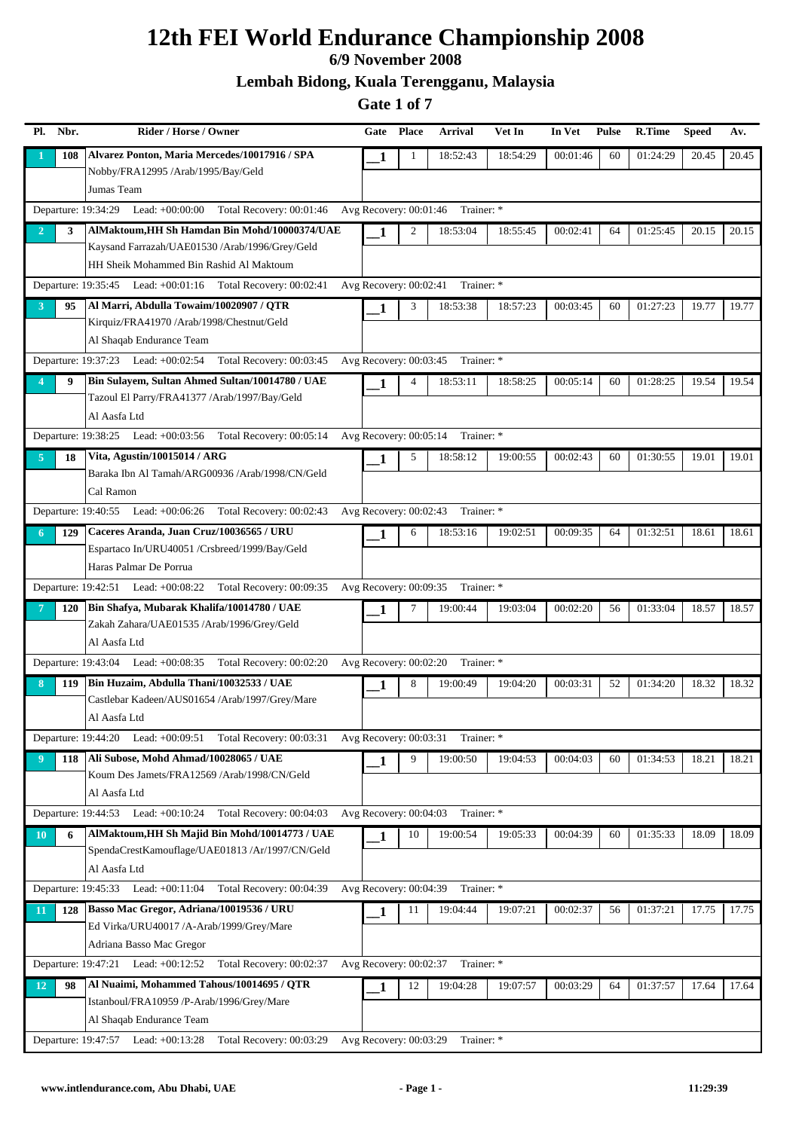#### **6/9 November 2008**

**Lembah Bidong, Kuala Terengganu, Malaysia**

| Pl.            | Nbr. | Rider / Horse / Owner                                                   | Gate                     | <b>Place</b> | <b>Arrival</b> | Vet In   | In Vet   | <b>Pulse</b> | R.Time   | <b>Speed</b> | Av.   |
|----------------|------|-------------------------------------------------------------------------|--------------------------|--------------|----------------|----------|----------|--------------|----------|--------------|-------|
|                | 108  | Alvarez Ponton, Maria Mercedes/10017916 / SPA                           | 1                        | 1            | 18:52:43       | 18:54:29 | 00:01:46 | 60           | 01:24:29 | 20.45        | 20.45 |
|                |      | Nobby/FRA12995 /Arab/1995/Bay/Geld                                      |                          |              |                |          |          |              |          |              |       |
|                |      | Jumas Team                                                              |                          |              |                |          |          |              |          |              |       |
|                |      | Departure: 19:34:29<br>Lead: $+00:00:00$<br>Total Recovery: 00:01:46    | Avg Recovery: 00:01:46   |              | Trainer: *     |          |          |              |          |              |       |
| $\overline{2}$ | 3    | AlMaktoum, HH Sh Hamdan Bin Mohd/10000374/UAE                           | 1                        | 2            | 18:53:04       | 18:55:45 | 00:02:41 | 64           | 01:25:45 | 20.15        | 20.15 |
|                |      | Kaysand Farrazah/UAE01530 /Arab/1996/Grey/Geld                          |                          |              |                |          |          |              |          |              |       |
|                |      | HH Sheik Mohammed Bin Rashid Al Maktoum                                 |                          |              |                |          |          |              |          |              |       |
|                |      | Departure: 19:35:45 Lead: +00:01:16 Total Recovery: 00:02:41            | Avg Recovery: 00:02:41   |              | Trainer: *     |          |          |              |          |              |       |
| 3              | 95   | Al Marri, Abdulla Towaim/10020907 / OTR                                 | 1                        | 3            | 18:53:38       | 18:57:23 | 00:03:45 | 60           | 01:27:23 | 19.77        | 19.77 |
|                |      | Kirquiz/FRA41970/Arab/1998/Chestnut/Geld                                |                          |              |                |          |          |              |          |              |       |
|                |      | Al Shaqab Endurance Team                                                |                          |              |                |          |          |              |          |              |       |
|                |      | Departure: 19:37:23 Lead: +00:02:54<br>Total Recovery: 00:03:45         | Avg Recovery: 00:03:45   |              | Trainer: *     |          |          |              |          |              |       |
|                | 9    | Bin Sulayem, Sultan Ahmed Sultan/10014780 / UAE                         | 1                        | 4            | 18:53:11       | 18:58:25 | 00:05:14 | 60           | 01:28:25 | 19.54        | 19.54 |
|                |      | Tazoul El Parry/FRA41377 /Arab/1997/Bay/Geld                            |                          |              |                |          |          |              |          |              |       |
|                |      | Al Aasfa Ltd                                                            |                          |              |                |          |          |              |          |              |       |
|                |      | Departure: 19:38:25 Lead: +00:03:56<br>Total Recovery: 00:05:14         | Avg Recovery: 00:05:14   |              | Trainer: *     |          |          |              |          |              |       |
| 5              | 18   | Vita, Agustin/10015014 / ARG                                            | 1                        | 5            | 18:58:12       | 19:00:55 | 00:02:43 | 60           | 01:30:55 | 19.01        | 19.01 |
|                |      | Baraka Ibn Al Tamah/ARG00936 /Arab/1998/CN/Geld                         |                          |              |                |          |          |              |          |              |       |
|                |      | Cal Ramon                                                               |                          |              |                |          |          |              |          |              |       |
|                |      | Departure: 19:40:55 Lead: +00:06:26 Total Recovery: 00:02:43            | Avg Recovery: 00:02:43   |              | Trainer: *     |          |          |              |          |              |       |
| 6              | 129  | Caceres Aranda, Juan Cruz/10036565 / URU                                | 1                        | 6            | 18:53:16       | 19:02:51 | 00:09:35 | 64           | 01:32:51 | 18.61        | 18.61 |
|                |      | Espartaco In/URU40051 /Crsbreed/1999/Bay/Geld<br>Haras Palmar De Porrua |                          |              |                |          |          |              |          |              |       |
|                |      | Departure: 19:42:51 Lead: +00:08:22 Total Recovery: 00:09:35            | Avg Recovery: 00:09:35   |              | Trainer: *     |          |          |              |          |              |       |
|                |      | Bin Shafya, Mubarak Khalifa/10014780 / UAE                              |                          |              |                |          |          |              |          |              |       |
|                | 120  | Zakah Zahara/UAE01535 /Arab/1996/Grey/Geld                              | 1                        | 7            | 19:00:44       | 19:03:04 | 00:02:20 | 56           | 01:33:04 | 18.57        | 18.57 |
|                |      | Al Aasfa Ltd                                                            |                          |              |                |          |          |              |          |              |       |
|                |      | Departure: 19:43:04 Lead: +00:08:35 Total Recovery: 00:02:20            | Avg Recovery: 00:02:20   |              | Trainer: *     |          |          |              |          |              |       |
| 8              | 119  | Bin Huzaim, Abdulla Thani/10032533 / UAE                                | 1                        | 8            | 19:00:49       | 19:04:20 | 00:03:31 | 52           | 01:34:20 | 18.32        | 18.32 |
|                |      | Castlebar Kadeen/AUS01654 /Arab/1997/Grey/Mare                          |                          |              |                |          |          |              |          |              |       |
|                |      | Al Aasfa Ltd                                                            |                          |              |                |          |          |              |          |              |       |
|                |      | Departure: 19:44:20 Lead: +00:09:51 Total Recovery: 00:03:31            | Avg Recovery: $00:03:31$ |              | Trainer: *     |          |          |              |          |              |       |
| -9             | 118  | Ali Subose, Mohd Ahmad/10028065 / UAE                                   | 1                        | 9            | 19:00:50       | 19:04:53 | 00:04:03 | 60           | 01:34:53 | 18.21        | 18.21 |
|                |      | Koum Des Jamets/FRA12569 /Arab/1998/CN/Geld                             |                          |              |                |          |          |              |          |              |       |
|                |      | Al Aasfa Ltd                                                            |                          |              |                |          |          |              |          |              |       |
|                |      | Departure: 19:44:53 Lead: +00:10:24<br>Total Recovery: 00:04:03         | Avg Recovery: 00:04:03   |              | Trainer: *     |          |          |              |          |              |       |
| <b>10</b>      | 6    | AlMaktoum, HH Sh Majid Bin Mohd/10014773 / UAE                          | $\mathbf{1}$             | 10           | 19:00:54       | 19:05:33 | 00:04:39 | 60           | 01:35:33 | 18.09        | 18.09 |
|                |      | SpendaCrestKamouflage/UAE01813 /Ar/1997/CN/Geld                         |                          |              |                |          |          |              |          |              |       |
|                |      | Al Aasfa Ltd                                                            |                          |              |                |          |          |              |          |              |       |
|                |      | Departure: 19:45:33 Lead: +00:11:04 Total Recovery: 00:04:39            | Avg Recovery: 00:04:39   |              | Trainer: *     |          |          |              |          |              |       |
| 11             | 128  | Basso Mac Gregor, Adriana/10019536 / URU                                | 1                        | 11           | 19:04:44       | 19:07:21 | 00:02:37 | 56           | 01:37:21 | 17.75        | 17.75 |
|                |      | Ed Virka/URU40017 /A-Arab/1999/Grey/Mare                                |                          |              |                |          |          |              |          |              |       |
|                |      | Adriana Basso Mac Gregor                                                |                          |              |                |          |          |              |          |              |       |
|                |      | Departure: 19:47:21 Lead: +00:12:52<br>Total Recovery: 00:02:37         | Avg Recovery: 00:02:37   |              | Trainer: *     |          |          |              |          |              |       |
| 12             | 98   | Al Nuaimi, Mohammed Tahous/10014695 / QTR                               | 1                        | 12           | 19:04:28       | 19:07:57 | 00:03:29 | 64           | 01:37:57 | 17.64        | 17.64 |
|                |      | Istanboul/FRA10959 /P-Arab/1996/Grey/Mare                               |                          |              |                |          |          |              |          |              |       |
|                |      | Al Shaqab Endurance Team                                                |                          |              |                |          |          |              |          |              |       |
|                |      | Departure: 19:47:57 Lead: +00:13:28 Total Recovery: 00:03:29            | Avg Recovery: 00:03:29   |              | Trainer: *     |          |          |              |          |              |       |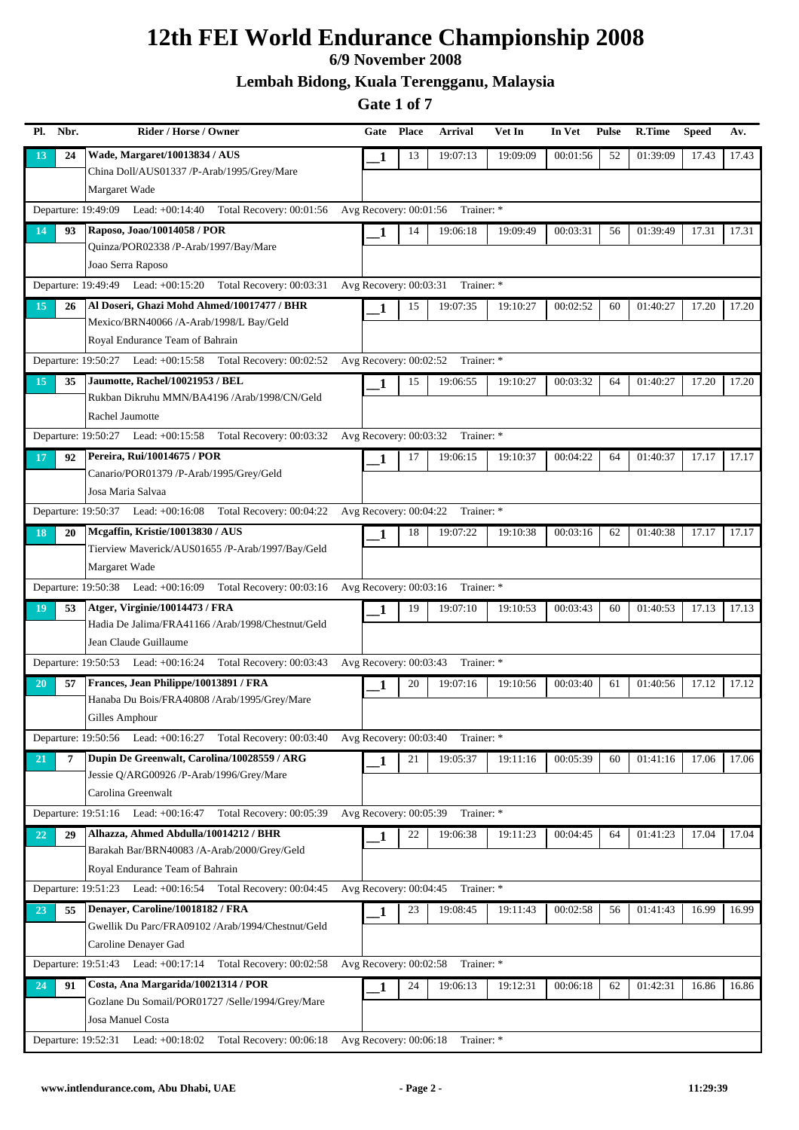### **6/9 November 2008**

**Lembah Bidong, Kuala Terengganu, Malaysia**

| Pl.       | Nbr. | Rider / Horse / Owner                                                                             | Gate                     | <b>Place</b> | <b>Arrival</b>                    | Vet In   | In Vet   | <b>Pulse</b> | R.Time   | <b>Speed</b> | Av.   |
|-----------|------|---------------------------------------------------------------------------------------------------|--------------------------|--------------|-----------------------------------|----------|----------|--------------|----------|--------------|-------|
| 13        | 24   | Wade, Margaret/10013834 / AUS                                                                     | 1                        | 13           | 19:07:13                          | 19:09:09 | 00:01:56 | 52           | 01:39:09 | 17.43        | 17.43 |
|           |      | China Doll/AUS01337 /P-Arab/1995/Grey/Mare                                                        |                          |              |                                   |          |          |              |          |              |       |
|           |      | Margaret Wade                                                                                     |                          |              |                                   |          |          |              |          |              |       |
|           |      | Departure: 19:49:09 Lead: +00:14:40 Total Recovery: 00:01:56                                      | Avg Recovery: $00:01:56$ |              | Trainer: *                        |          |          |              |          |              |       |
| 14        | 93   | Raposo, Joao/10014058 / POR                                                                       | 1                        | 14           | 19:06:18                          | 19:09:49 | 00:03:31 | 56           | 01:39:49 | 17.31        | 17.31 |
|           |      | Quinza/POR02338 /P-Arab/1997/Bay/Mare                                                             |                          |              |                                   |          |          |              |          |              |       |
|           |      | Joao Serra Raposo                                                                                 |                          |              |                                   |          |          |              |          |              |       |
|           |      | Departure: 19:49:49 Lead: +00:15:20<br>Total Recovery: 00:03:31                                   | Avg Recovery: 00:03:31   |              | Trainer: *                        |          |          |              |          |              |       |
| 15        | 26   | Al Doseri, Ghazi Mohd Ahmed/10017477 / BHR                                                        | $\mathbf{1}$             | 15           | 19:07:35                          | 19:10:27 | 00:02:52 | 60           | 01:40:27 | 17.20        | 17.20 |
|           |      | Mexico/BRN40066 /A-Arab/1998/L Bay/Geld                                                           |                          |              |                                   |          |          |              |          |              |       |
|           |      | Royal Endurance Team of Bahrain                                                                   |                          |              |                                   |          |          |              |          |              |       |
|           |      | Total Recovery: 00:02:52<br>Departure: 19:50:27 Lead: +00:15:58                                   | Avg Recovery: 00:02:52   |              | Trainer: *                        |          |          |              |          |              |       |
| 15        | 35   | Jaumotte, Rachel/10021953 / BEL                                                                   | 1                        | 15           | 19:06:55                          | 19:10:27 | 00:03:32 | 64           | 01:40:27 | 17.20        | 17.20 |
|           |      | Rukban Dikruhu MMN/BA4196 /Arab/1998/CN/Geld                                                      |                          |              |                                   |          |          |              |          |              |       |
|           |      | Rachel Jaumotte                                                                                   |                          |              |                                   |          |          |              |          |              |       |
|           |      | Total Recovery: 00:03:32 Avg Recovery: 00:03:32 Trainer: *<br>Departure: 19:50:27 Lead: +00:15:58 |                          |              |                                   |          |          |              |          |              |       |
| 17        | 92   | Pereira, Rui/10014675 / POR<br>Canario/POR01379 /P-Arab/1995/Grey/Geld                            | 1                        | 17           | 19:06:15                          | 19:10:37 | 00:04:22 | 64           | 01:40:37 | 17.17        | 17.17 |
|           |      | Josa Maria Salvaa                                                                                 |                          |              |                                   |          |          |              |          |              |       |
|           |      | Departure: 19:50:37 Lead: +00:16:08 Total Recovery: 00:04:22                                      | Avg Recovery: 00:04:22   |              | Trainer: *                        |          |          |              |          |              |       |
|           |      | Mcgaffin, Kristie/10013830 / AUS                                                                  |                          |              |                                   |          |          |              |          |              |       |
| 18        | 20   | Tierview Maverick/AUS01655 /P-Arab/1997/Bay/Geld                                                  | 1                        | 18           | 19:07:22                          | 19:10:38 | 00:03:16 | 62           | 01:40:38 | 17.17        | 17.17 |
|           |      | Margaret Wade                                                                                     |                          |              |                                   |          |          |              |          |              |       |
|           |      | Departure: 19:50:38 Lead: +00:16:09<br>Total Recovery: 00:03:16                                   | Avg Recovery: 00:03:16   |              | Trainer: *                        |          |          |              |          |              |       |
| 19        | 53   | Atger, Virginie/10014473 / FRA                                                                    | 1                        | 19           | 19:07:10                          | 19:10:53 | 00:03:43 | 60           | 01:40:53 | 17.13        | 17.13 |
|           |      | Hadia De Jalima/FRA41166 /Arab/1998/Chestnut/Geld                                                 |                          |              |                                   |          |          |              |          |              |       |
|           |      | Jean Claude Guillaume                                                                             |                          |              |                                   |          |          |              |          |              |       |
|           |      | Departure: 19:50:53 Lead: +00:16:24 Total Recovery: 00:03:43                                      | Avg Recovery: 00:03:43   |              | Trainer: *                        |          |          |              |          |              |       |
| 20        | 57   | Frances, Jean Philippe/10013891 / FRA                                                             | 1                        | 20           | 19:07:16                          | 19:10:56 | 00:03:40 | 61           | 01:40:56 | 17.12        | 17.12 |
|           |      | Hanaba Du Bois/FRA40808 /Arab/1995/Grey/Mare                                                      |                          |              |                                   |          |          |              |          |              |       |
|           |      | Gilles Amphour                                                                                    |                          |              |                                   |          |          |              |          |              |       |
|           |      | Departure: 19:50:56 Lead: +00:16:27 Total Recovery: 00:03:40                                      |                          |              | Avg Recovery: 00:03:40 Trainer: * |          |          |              |          |              |       |
| <b>21</b> | 7    | Dupin De Greenwalt, Carolina/10028559 / ARG                                                       | 1                        | 21           | 19:05:37                          | 19:11:16 | 00:05:39 | 60           | 01:41:16 | 17.06        | 17.06 |
|           |      | Jessie Q/ARG00926 /P-Arab/1996/Grey/Mare                                                          |                          |              |                                   |          |          |              |          |              |       |
|           |      | Carolina Greenwalt                                                                                |                          |              |                                   |          |          |              |          |              |       |
|           |      | Departure: 19:51:16 Lead: +00:16:47 Total Recovery: 00:05:39                                      | Avg Recovery: 00:05:39   |              | Trainer: *                        |          |          |              |          |              |       |
| 22        | 29   | Alhazza, Ahmed Abdulla/10014212 / BHR                                                             | 1                        | 22           | 19:06:38                          | 19:11:23 | 00:04:45 | 64           | 01:41:23 | 17.04        | 17.04 |
|           |      | Barakah Bar/BRN40083 /A-Arab/2000/Grey/Geld                                                       |                          |              |                                   |          |          |              |          |              |       |
|           |      | Royal Endurance Team of Bahrain                                                                   |                          |              |                                   |          |          |              |          |              |       |
|           |      | Departure: 19:51:23 Lead: +00:16:54 Total Recovery: 00:04:45                                      | Avg Recovery: 00:04:45   |              | Trainer: *                        |          |          |              |          |              |       |
| 23        | 55   | Denayer, Caroline/10018182 / FRA                                                                  | 1                        | 23           | 19:08:45                          | 19:11:43 | 00:02:58 | 56           | 01:41:43 | 16.99        | 16.99 |
|           |      | Gwellik Du Parc/FRA09102/Arab/1994/Chestnut/Geld                                                  |                          |              |                                   |          |          |              |          |              |       |
|           |      | Caroline Denayer Gad                                                                              |                          |              |                                   |          |          |              |          |              |       |
|           |      | Departure: 19:51:43 Lead: +00:17:14 Total Recovery: 00:02:58                                      | Avg Recovery: 00:02:58   |              | Trainer: *                        |          |          |              |          |              |       |
| 24        | 91   | Costa, Ana Margarida/10021314 / POR                                                               | 1                        | 24           | 19:06:13                          | 19:12:31 | 00:06:18 | 62           | 01:42:31 | 16.86        | 16.86 |
|           |      | Gozlane Du Somail/POR01727 /Selle/1994/Grey/Mare<br>Josa Manuel Costa                             |                          |              |                                   |          |          |              |          |              |       |
|           |      | Departure: 19:52:31 Lead: +00:18:02 Total Recovery: 00:06:18                                      | Avg Recovery: 00:06:18   |              | Trainer: *                        |          |          |              |          |              |       |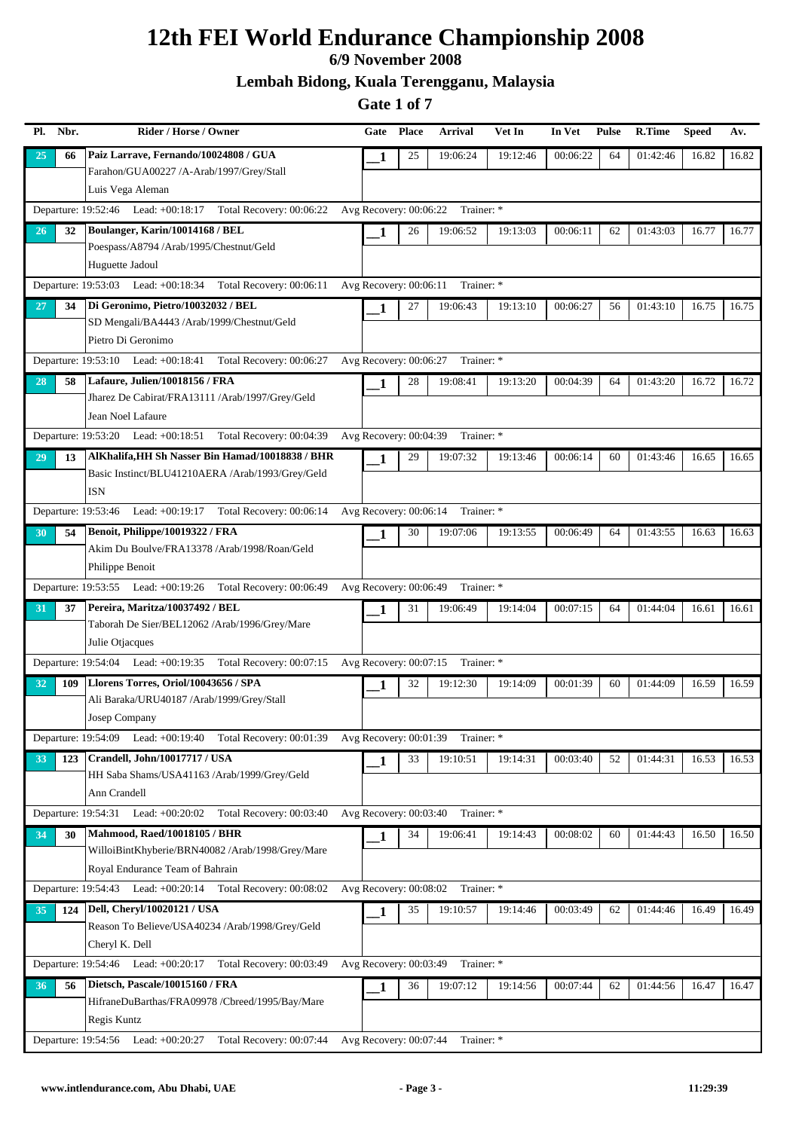### **6/9 November 2008**

**Lembah Bidong, Kuala Terengganu, Malaysia**

| Pl. | Nbr. | Rider / Horse / Owner                                                           | Gate                     | <b>Place</b> | <b>Arrival</b> | Vet In   | In Vet   | <b>Pulse</b> | <b>R.Time</b> | <b>Speed</b> | Av.   |
|-----|------|---------------------------------------------------------------------------------|--------------------------|--------------|----------------|----------|----------|--------------|---------------|--------------|-------|
| 25  | 66   | Paiz Larrave, Fernando/10024808 / GUA                                           | 1                        | 25           | 19:06:24       | 19:12:46 | 00:06:22 | 64           | 01:42:46      | 16.82        | 16.82 |
|     |      | Farahon/GUA00227 /A-Arab/1997/Grey/Stall                                        |                          |              |                |          |          |              |               |              |       |
|     |      | Luis Vega Aleman                                                                |                          |              |                |          |          |              |               |              |       |
|     |      | Departure: 19:52:46 Lead: +00:18:17 Total Recovery: 00:06:22                    | Avg Recovery: 00:06:22   |              | Trainer: *     |          |          |              |               |              |       |
| 26  | 32   | Boulanger, Karin/10014168 / BEL                                                 | 1                        | 26           | 19:06:52       | 19:13:03 | 00:06:11 | 62           | 01:43:03      | 16.77        | 16.77 |
|     |      | Poespass/A8794 /Arab/1995/Chestnut/Geld                                         |                          |              |                |          |          |              |               |              |       |
|     |      | Huguette Jadoul                                                                 |                          |              |                |          |          |              |               |              |       |
|     |      | Departure: 19:53:03 Lead: +00:18:34 Total Recovery: 00:06:11                    | Avg Recovery: $00:06:11$ |              | Trainer: *     |          |          |              |               |              |       |
| 27  | 34   | Di Geronimo, Pietro/10032032 / BEL                                              | 1                        | 27           | 19:06:43       | 19:13:10 | 00:06:27 | 56           | 01:43:10      | 16.75        | 16.75 |
|     |      | SD Mengali/BA4443 /Arab/1999/Chestnut/Geld                                      |                          |              |                |          |          |              |               |              |       |
|     |      | Pietro Di Geronimo                                                              |                          |              |                |          |          |              |               |              |       |
|     |      | Departure: 19:53:10 Lead: +00:18:41<br>Total Recovery: 00:06:27                 | Avg Recovery: 00:06:27   |              | Trainer: *     |          |          |              |               |              |       |
| 28  | 58   | Lafaure, Julien/10018156 / FRA                                                  | 1                        | 28           | 19:08:41       | 19:13:20 | 00:04:39 | 64           | 01:43:20      | 16.72        | 16.72 |
|     |      | Jharez De Cabirat/FRA13111 /Arab/1997/Grey/Geld                                 |                          |              |                |          |          |              |               |              |       |
|     |      | Jean Noel Lafaure                                                               |                          |              |                |          |          |              |               |              |       |
|     |      | Departure: 19:53:20 Lead: +00:18:51 Total Recovery: 00:04:39                    | Avg Recovery: 00:04:39   |              | Trainer: *     |          |          |              |               |              |       |
| 29  | 13   | AlKhalifa, HH Sh Nasser Bin Hamad/10018838 / BHR                                | 1                        | 29           | 19:07:32       | 19:13:46 | 00:06:14 | 60           | 01:43:46      | 16.65        | 16.65 |
|     |      | Basic Instinct/BLU41210AERA /Arab/1993/Grey/Geld                                |                          |              |                |          |          |              |               |              |       |
|     |      | <b>ISN</b>                                                                      |                          |              |                |          |          |              |               |              |       |
|     |      | Departure: 19:53:46 Lead: +00:19:17 Total Recovery: 00:06:14                    | Avg Recovery: 00:06:14   |              | Trainer: *     |          |          |              |               |              |       |
| 30  | 54   | Benoit, Philippe/10019322 / FRA<br>Akim Du Boulve/FRA13378 /Arab/1998/Roan/Geld | 1                        | 30           | 19:07:06       | 19:13:55 | 00:06:49 | 64           | 01:43:55      | 16.63        | 16.63 |
|     |      | Philippe Benoit                                                                 |                          |              |                |          |          |              |               |              |       |
|     |      | Departure: 19:53:55 Lead: +00:19:26 Total Recovery: 00:06:49                    | Avg Recovery: 00:06:49   |              | Trainer: *     |          |          |              |               |              |       |
|     | 37   | Pereira, Maritza/10037492 / BEL                                                 |                          | 31           | 19:06:49       | 19:14:04 | 00:07:15 | 64           | 01:44:04      | 16.61        | 16.61 |
| 31  |      | Taborah De Sier/BEL12062 /Arab/1996/Grey/Mare                                   | 1                        |              |                |          |          |              |               |              |       |
|     |      | Julie Otjacques                                                                 |                          |              |                |          |          |              |               |              |       |
|     |      | Departure: 19:54:04 Lead: +00:19:35 Total Recovery: 00:07:15                    | Avg Recovery: 00:07:15   |              | Trainer: *     |          |          |              |               |              |       |
| 32  | 109  | Llorens Torres, Oriol/10043656 / SPA                                            | 1                        | 32           | 19:12:30       | 19:14:09 | 00:01:39 | 60           | 01:44:09      | 16.59        | 16.59 |
|     |      | Ali Baraka/URU40187 /Arab/1999/Grey/Stall                                       |                          |              |                |          |          |              |               |              |       |
|     |      | Josep Company                                                                   |                          |              |                |          |          |              |               |              |       |
|     |      | Departure: 19:54:09 Lead: +00:19:40<br>Total Recovery: 00:01:39                 | Avg Recovery: 00:01:39   |              | Trainer: *     |          |          |              |               |              |       |
| 33  | 123  | Crandell, John/10017717 / USA                                                   | 1                        | 33           | 19:10:51       | 19:14:31 | 00:03:40 | 52           | 01:44:31      | 16.53        | 16.53 |
|     |      | HH Saba Shams/USA41163 /Arab/1999/Grey/Geld                                     |                          |              |                |          |          |              |               |              |       |
|     |      | Ann Crandell                                                                    |                          |              |                |          |          |              |               |              |       |
|     |      | Departure: 19:54:31 Lead: +00:20:02<br>Total Recovery: 00:03:40                 | Avg Recovery: 00:03:40   |              | Trainer: *     |          |          |              |               |              |       |
| 34  | 30   | Mahmood, Raed/10018105 / BHR                                                    | 1                        | 34           | 19:06:41       | 19:14:43 | 00:08:02 | 60           | 01:44:43      | 16.50        | 16.50 |
|     |      | WilloiBintKhyberie/BRN40082 /Arab/1998/Grey/Mare                                |                          |              |                |          |          |              |               |              |       |
|     |      | Royal Endurance Team of Bahrain                                                 |                          |              |                |          |          |              |               |              |       |
|     |      | Departure: 19:54:43 Lead: +00:20:14 Total Recovery: 00:08:02                    | Avg Recovery: 00:08:02   |              | Trainer: *     |          |          |              |               |              |       |
| 35  | 124  | Dell, Cheryl/10020121 / USA                                                     | 1                        | 35           | 19:10:57       | 19:14:46 | 00:03:49 | 62           | 01:44:46      | 16.49        | 16.49 |
|     |      | Reason To Believe/USA40234 /Arab/1998/Grey/Geld                                 |                          |              |                |          |          |              |               |              |       |
|     |      | Cheryl K. Dell                                                                  |                          |              |                |          |          |              |               |              |       |
|     |      | Departure: 19:54:46 Lead: +00:20:17<br>Total Recovery: 00:03:49                 | Avg Recovery: 00:03:49   |              | Trainer: *     |          |          |              |               |              |       |
| 36  | 56   | Dietsch, Pascale/10015160 / FRA                                                 | 1                        | 36           | 19:07:12       | 19:14:56 | 00:07:44 | 62           | 01:44:56      | 16.47        | 16.47 |
|     |      | HifraneDuBarthas/FRA09978 /Cbreed/1995/Bay/Mare                                 |                          |              |                |          |          |              |               |              |       |
|     |      | Regis Kuntz                                                                     |                          |              |                |          |          |              |               |              |       |
|     |      | Departure: 19:54:56 Lead: +00:20:27<br>Total Recovery: 00:07:44                 | Avg Recovery: 00:07:44   |              | Trainer: *     |          |          |              |               |              |       |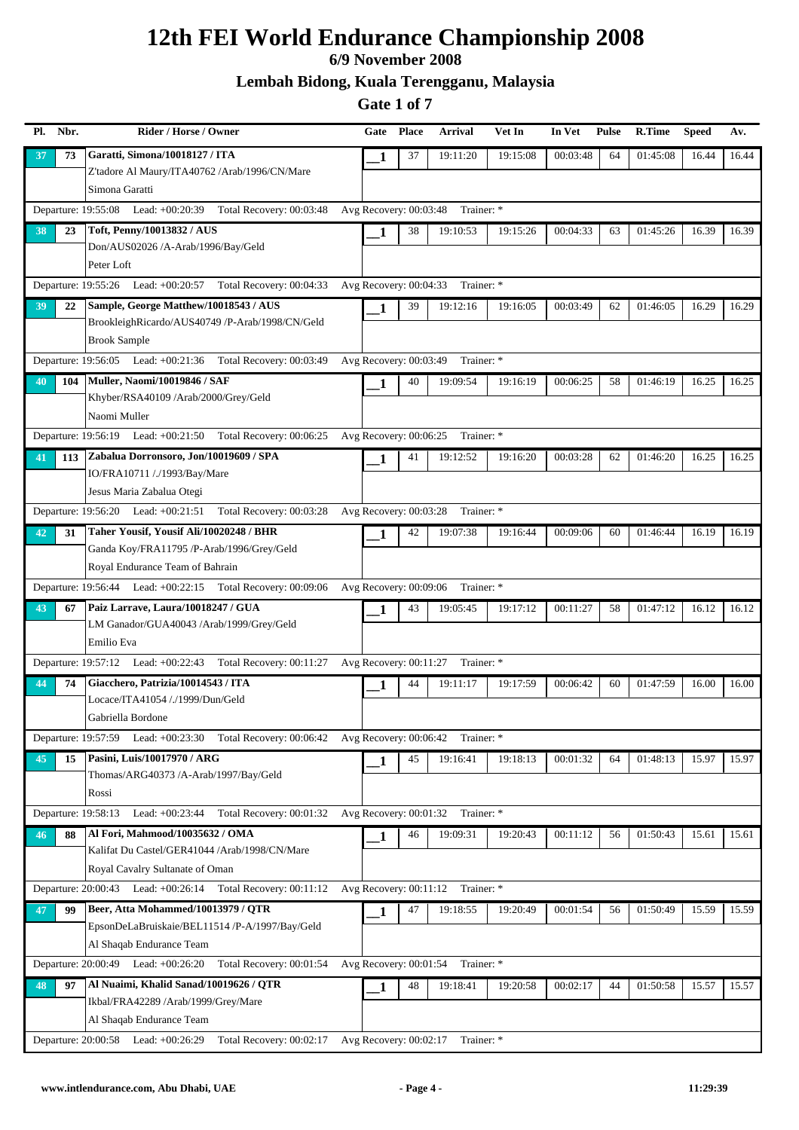### **6/9 November 2008**

**Lembah Bidong, Kuala Terengganu, Malaysia**

| Pl. | Nbr. | Rider / Horse / Owner                                                                      | Gate                     | <b>Place</b> | <b>Arrival</b>                    | Vet In   | In Vet   | <b>Pulse</b> | R.Time   | <b>Speed</b> | Av.   |
|-----|------|--------------------------------------------------------------------------------------------|--------------------------|--------------|-----------------------------------|----------|----------|--------------|----------|--------------|-------|
| 37  | 73   | Garatti, Simona/10018127 / ITA                                                             | 1                        | 37           | 19:11:20                          | 19:15:08 | 00:03:48 | 64           | 01:45:08 | 16.44        | 16.44 |
|     |      | Z'tadore Al Maury/ITA40762 /Arab/1996/CN/Mare                                              |                          |              |                                   |          |          |              |          |              |       |
|     |      | Simona Garatti                                                                             |                          |              |                                   |          |          |              |          |              |       |
|     |      | Departure: 19:55:08 Lead: +00:20:39<br>Total Recovery: 00:03:48                            | Avg Recovery: $00:03:48$ |              | Trainer: *                        |          |          |              |          |              |       |
| 38  | 23   | Toft, Penny/10013832 / AUS                                                                 | 1                        | 38           | 19:10:53                          | 19:15:26 | 00:04:33 | 63           | 01:45:26 | 16.39        | 16.39 |
|     |      | Don/AUS02026 /A-Arab/1996/Bay/Geld                                                         |                          |              |                                   |          |          |              |          |              |       |
|     |      | Peter Loft                                                                                 |                          |              |                                   |          |          |              |          |              |       |
|     |      | Departure: 19:55:26 Lead: +00:20:57 Total Recovery: 00:04:33                               | Avg Recovery: 00:04:33   |              | Trainer: *                        |          |          |              |          |              |       |
| 39  | 22   | Sample, George Matthew/10018543 / AUS                                                      | 1                        | 39           | 19:12:16                          | 19:16:05 | 00:03:49 | 62           | 01:46:05 | 16.29        | 16.29 |
|     |      | BrookleighRicardo/AUS40749 /P-Arab/1998/CN/Geld                                            |                          |              |                                   |          |          |              |          |              |       |
|     |      | <b>Brook Sample</b>                                                                        |                          |              |                                   |          |          |              |          |              |       |
|     |      | Departure: 19:56:05 Lead: +00:21:36 Total Recovery: 00:03:49                               | Avg Recovery: 00:03:49   |              | Trainer: *                        |          |          |              |          |              |       |
| 40  | 104  | Muller, Naomi/10019846 / SAF                                                               | 1                        | 40           | 19:09:54                          | 19:16:19 | 00:06:25 | 58           | 01:46:19 | 16.25        | 16.25 |
|     |      | Khyber/RSA40109 /Arab/2000/Grey/Geld<br>Naomi Muller                                       |                          |              |                                   |          |          |              |          |              |       |
|     |      |                                                                                            | Avg Recovery: $00:06:25$ |              |                                   |          |          |              |          |              |       |
|     |      | Departure: 19:56:19 Lead: +00:21:50 Total Recovery: 00:06:25                               |                          |              | Trainer: *                        |          |          |              |          |              |       |
| 41  | 113  | Zabalua Dorronsoro, Jon/10019609 / SPA<br>IO/FRA10711 /./1993/Bay/Mare                     | 1                        | 41           | 19:12:52                          | 19:16:20 | 00:03:28 | 62           | 01:46:20 | 16.25        | 16.25 |
|     |      | Jesus Maria Zabalua Otegi                                                                  |                          |              |                                   |          |          |              |          |              |       |
|     |      | Departure: 19:56:20 Lead: +00:21:51 Total Recovery: 00:03:28                               | Avg Recovery: 00:03:28   |              | Trainer: *                        |          |          |              |          |              |       |
|     |      | Taher Yousif, Yousif Ali/10020248 / BHR                                                    |                          |              |                                   |          |          |              |          |              |       |
| 42  | 31   | Ganda Koy/FRA11795 /P-Arab/1996/Grey/Geld                                                  | 1                        | 42           | 19:07:38                          | 19:16:44 | 00:09:06 | 60           | 01:46:44 | 16.19        | 16.19 |
|     |      | Royal Endurance Team of Bahrain                                                            |                          |              |                                   |          |          |              |          |              |       |
|     |      | Departure: 19:56:44 Lead: +00:22:15 Total Recovery: 00:09:06                               | Avg Recovery: 00:09:06   |              | Trainer: *                        |          |          |              |          |              |       |
| 43  | 67   | Paiz Larrave, Laura/10018247 / GUA                                                         | 1                        | 43           | 19:05:45                          | 19:17:12 | 00:11:27 | 58           | 01:47:12 | 16.12        | 16.12 |
|     |      | LM Ganador/GUA40043 /Arab/1999/Grey/Geld                                                   |                          |              |                                   |          |          |              |          |              |       |
|     |      | Emilio Eva                                                                                 |                          |              |                                   |          |          |              |          |              |       |
|     |      | Departure: 19:57:12 Lead: +00:22:43 Total Recovery: 00:11:27                               | Avg Recovery: 00:11:27   |              | Trainer: *                        |          |          |              |          |              |       |
| 44  | 74   | Giacchero, Patrizia/10014543 / ITA                                                         | 1                        | 44           | 19:11:17                          | 19:17:59 | 00:06:42 | 60           | 01:47:59 | 16.00        | 16.00 |
|     |      | Locace/ITA41054 /./1999/Dun/Geld                                                           |                          |              |                                   |          |          |              |          |              |       |
|     |      | Gabriella Bordone                                                                          |                          |              |                                   |          |          |              |          |              |       |
|     |      | Departure: 19:57:59 Lead: +00:23:30 Total Recovery: 00:06:42 Avg Recovery: 00:06:42        |                          |              | Trainer: *                        |          |          |              |          |              |       |
| 45  | 15   | Pasini, Luis/10017970 / ARG                                                                | 1                        | 45           | 19:16:41                          | 19:18:13 | 00:01:32 | 64           | 01:48:13 | 15.97        | 15.97 |
|     |      | Thomas/ARG40373 /A-Arab/1997/Bay/Geld                                                      |                          |              |                                   |          |          |              |          |              |       |
|     |      | Rossi                                                                                      |                          |              |                                   |          |          |              |          |              |       |
|     |      | Total Recovery: $00:01:32$ Avg Recovery: $00:01:32$<br>Departure: 19:58:13 Lead: +00:23:44 |                          |              | Trainer: *                        |          |          |              |          |              |       |
| 46  | 88   | Al Fori, Mahmood/10035632 / OMA                                                            | $\mathbf{1}$             | 46           | 19:09:31                          | 19:20:43 | 00:11:12 | 56           | 01:50:43 | 15.61        | 15.61 |
|     |      | Kalifat Du Castel/GER41044 /Arab/1998/CN/Mare                                              |                          |              |                                   |          |          |              |          |              |       |
|     |      | Royal Cavalry Sultanate of Oman                                                            |                          |              |                                   |          |          |              |          |              |       |
|     |      | Departure: 20:00:43 Lead: +00:26:14 Total Recovery: 00:11:12                               | Avg Recovery: 00:11:12   |              | Trainer: *                        |          |          |              |          |              |       |
| 47  | 99   | Beer, Atta Mohammed/10013979 / QTR                                                         | 1                        | 47           | 19:18:55                          | 19:20:49 | 00:01:54 | 56           | 01:50:49 | 15.59        | 15.59 |
|     |      | EpsonDeLaBruiskaie/BEL11514 /P-A/1997/Bay/Geld                                             |                          |              |                                   |          |          |              |          |              |       |
|     |      | Al Shaqab Endurance Team                                                                   |                          |              |                                   |          |          |              |          |              |       |
|     |      | Departure: 20:00:49 Lead: +00:26:20<br>Total Recovery: 00:01:54                            | Avg Recovery: 00:01:54   |              | Trainer: *                        |          |          |              |          |              |       |
| 48  | 97   | Al Nuaimi, Khalid Sanad/10019626 / QTR                                                     | 1                        | 48           | 19:18:41                          | 19:20:58 | 00:02:17 | 44           | 01:50:58 | 15.57        | 15.57 |
|     |      | Ikbal/FRA42289 /Arab/1999/Grey/Mare                                                        |                          |              |                                   |          |          |              |          |              |       |
|     |      | Al Shaqab Endurance Team                                                                   |                          |              |                                   |          |          |              |          |              |       |
|     |      | Departure: 20:00:58 Lead: +00:26:29<br>Total Recovery: 00:02:17                            |                          |              | Avg Recovery: 00:02:17 Trainer: * |          |          |              |          |              |       |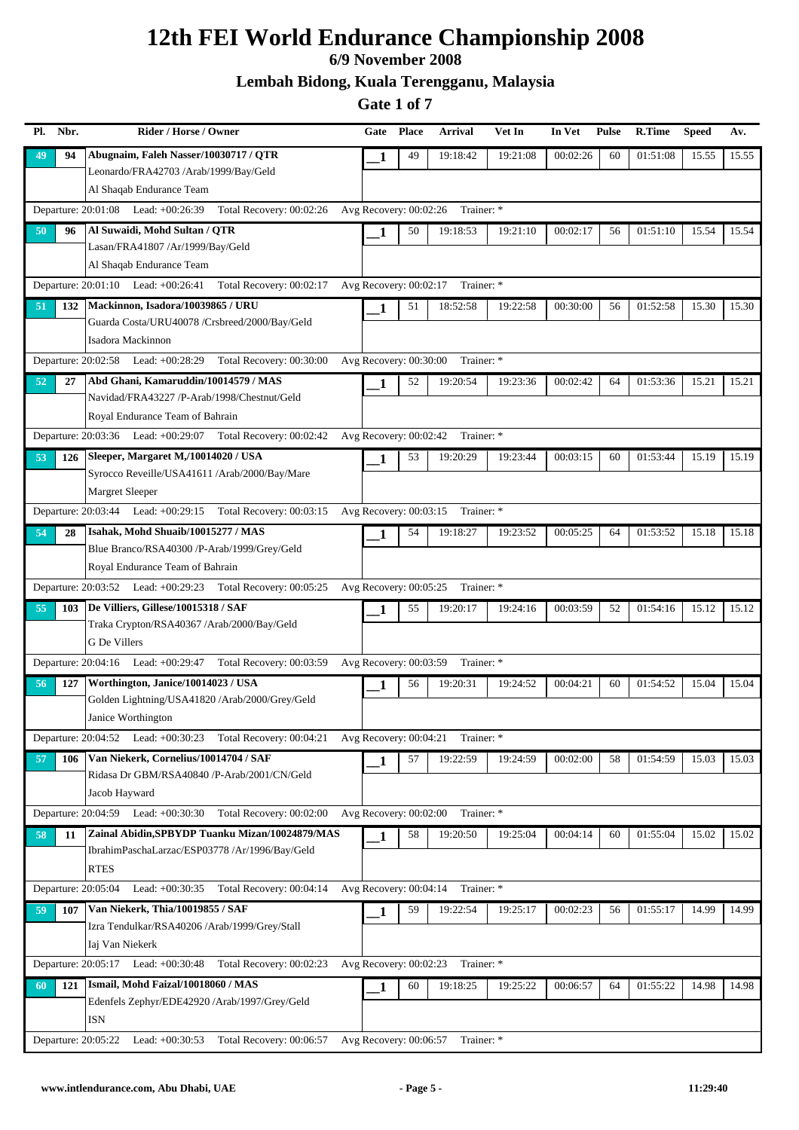### **6/9 November 2008**

**Lembah Bidong, Kuala Terengganu, Malaysia**

| Nbr.<br>Pl.         | Rider / Horse / Owner                                                                             | Gate                     | <b>Place</b> | <b>Arrival</b>                    | Vet In   | In Vet   | <b>Pulse</b> | R.Time   | <b>Speed</b> | Av.   |
|---------------------|---------------------------------------------------------------------------------------------------|--------------------------|--------------|-----------------------------------|----------|----------|--------------|----------|--------------|-------|
| 94<br>49            | Abugnaim, Faleh Nasser/10030717 / QTR                                                             | 1                        | 49           | 19:18:42                          | 19:21:08 | 00:02:26 | 60           | 01:51:08 | 15.55        | 15.55 |
|                     | Leonardo/FRA42703 /Arab/1999/Bay/Geld                                                             |                          |              |                                   |          |          |              |          |              |       |
|                     | Al Shaqab Endurance Team                                                                          |                          |              |                                   |          |          |              |          |              |       |
|                     | Departure: 20:01:08 Lead: +00:26:39<br>Total Recovery: 00:02:26                                   | Avg Recovery: $00:02:26$ |              | Trainer: *                        |          |          |              |          |              |       |
| 50<br>96            | Al Suwaidi, Mohd Sultan / QTR                                                                     | 1                        | 50           | 19:18:53                          | 19:21:10 | 00:02:17 | 56           | 01:51:10 | 15.54        | 15.54 |
|                     | Lasan/FRA41807 /Ar/1999/Bay/Geld                                                                  |                          |              |                                   |          |          |              |          |              |       |
|                     | Al Shaqab Endurance Team                                                                          |                          |              |                                   |          |          |              |          |              |       |
|                     | Departure: 20:01:10 Lead: +00:26:41 Total Recovery: 00:02:17                                      | Avg Recovery: 00:02:17   |              | Trainer: *                        |          |          |              |          |              |       |
| 51<br>132           | Mackinnon, Isadora/10039865 / URU                                                                 | 1                        | 51           | 18:52:58                          | 19:22:58 | 00:30:00 | 56           | 01:52:58 | 15.30        | 15.30 |
|                     | Guarda Costa/URU40078 /Crsbreed/2000/Bay/Geld<br>Isadora Mackinnon                                |                          |              |                                   |          |          |              |          |              |       |
|                     | Departure: 20:02:58 Lead: +00:28:29 Total Recovery: 00:30:00                                      | Avg Recovery: 00:30:00   |              | Trainer: *                        |          |          |              |          |              |       |
|                     |                                                                                                   |                          |              |                                   |          |          |              |          |              |       |
| 52<br>27            | Abd Ghani, Kamaruddin/10014579 / MAS<br>Navidad/FRA43227 /P-Arab/1998/Chestnut/Geld               | 1                        | 52           | 19:20:54                          | 19:23:36 | 00:02:42 | 64           | 01:53:36 | 15.21        | 15.21 |
|                     | Royal Endurance Team of Bahrain                                                                   |                          |              |                                   |          |          |              |          |              |       |
|                     | Departure: 20:03:36 Lead: +00:29:07 Total Recovery: 00:02:42                                      | Avg Recovery: 00:02:42   |              | Trainer: *                        |          |          |              |          |              |       |
| 53<br>126           | Sleeper, Margaret M,/10014020 / USA                                                               |                          | 53           | 19:20:29                          | 19:23:44 | 00:03:15 | 60           | 01:53:44 | 15.19        | 15.19 |
|                     | Syrocco Reveille/USA41611 /Arab/2000/Bay/Mare                                                     | 1                        |              |                                   |          |          |              |          |              |       |
|                     | Margret Sleeper                                                                                   |                          |              |                                   |          |          |              |          |              |       |
|                     | Departure: 20:03:44 Lead: +00:29:15 Total Recovery: 00:03:15                                      |                          |              | Avg Recovery: 00:03:15 Trainer: * |          |          |              |          |              |       |
| 54<br>28            | Isahak, Mohd Shuaib/10015277 / MAS                                                                | 1                        | 54           | 19:18:27                          | 19:23:52 | 00:05:25 | 64           | 01:53:52 | 15.18        | 15.18 |
|                     | Blue Branco/RSA40300 /P-Arab/1999/Grey/Geld                                                       |                          |              |                                   |          |          |              |          |              |       |
|                     | Royal Endurance Team of Bahrain                                                                   |                          |              |                                   |          |          |              |          |              |       |
|                     | Departure: 20:03:52 Lead: +00:29:23 Total Recovery: 00:05:25                                      | Avg Recovery: 00:05:25   |              | Trainer: *                        |          |          |              |          |              |       |
| 55<br>103           | De Villiers, Gillese/10015318 / SAF                                                               | 1                        | 55           | 19:20:17                          | 19:24:16 | 00:03:59 | 52           | 01:54:16 | 15.12        | 15.12 |
|                     | Traka Crypton/RSA40367 /Arab/2000/Bay/Geld                                                        |                          |              |                                   |          |          |              |          |              |       |
|                     | G De Villers                                                                                      |                          |              |                                   |          |          |              |          |              |       |
|                     | Departure: 20:04:16 Lead: +00:29:47 Total Recovery: 00:03:59                                      | Avg Recovery: 00:03:59   |              | Trainer: *                        |          |          |              |          |              |       |
| 127<br>56           | Worthington, Janice/10014023 / USA                                                                | 1                        | 56           | 19:20:31                          | 19:24:52 | 00:04:21 | 60           | 01:54:52 | 15.04        | 15.04 |
|                     | Golden Lightning/USA41820 /Arab/2000/Grey/Geld                                                    |                          |              |                                   |          |          |              |          |              |       |
|                     | Janice Worthington                                                                                |                          |              |                                   |          |          |              |          |              |       |
|                     | Departure: 20:04:52 Lead: +00:30:23 Total Recovery: 00:04:21                                      | Avg Recovery: 00:04:21   |              | Trainer: *                        |          |          |              |          |              |       |
| 57<br>106           | Van Niekerk, Cornelius/10014704 / SAF                                                             | 1                        | 57           | 19:22:59                          | 19:24:59 | 00:02:00 | 58           | 01:54:59 | 15.03        | 15.03 |
|                     | Ridasa Dr GBM/RSA40840 /P-Arab/2001/CN/Geld                                                       |                          |              |                                   |          |          |              |          |              |       |
|                     | Jacob Hayward                                                                                     |                          |              |                                   |          |          |              |          |              |       |
|                     | Departure: 20:04:59 Lead: +00:30:30<br>Total Recovery: 00:02:00                                   | Avg Recovery: 00:02:00   |              | Trainer: *                        |          |          |              |          |              |       |
| 58<br>11            | Zainal Abidin, SPBYDP Tuanku Mizan/10024879/MAS<br>IbrahimPaschaLarzac/ESP03778 /Ar/1996/Bay/Geld | 1                        | 58           | 19:20:50                          | 19:25:04 | 00:04:14 | 60           | 01:55:04 | 15.02        | 15.02 |
|                     | <b>RTES</b>                                                                                       |                          |              |                                   |          |          |              |          |              |       |
| Departure: 20:05:04 | Lead: $+00:30:35$<br>Total Recovery: 00:04:14                                                     | Avg Recovery: 00:04:14   |              | Trainer: *                        |          |          |              |          |              |       |
|                     | Van Niekerk, Thia/10019855 / SAF                                                                  |                          |              |                                   |          |          |              |          |              |       |
| 59<br>107           | Izra Tendulkar/RSA40206 /Arab/1999/Grey/Stall                                                     | 1                        | 59           | 19:22:54                          | 19:25:17 | 00:02:23 | 56           | 01:55:17 | 14.99        | 14.99 |
|                     | Iaj Van Niekerk                                                                                   |                          |              |                                   |          |          |              |          |              |       |
|                     | Departure: 20:05:17 Lead: +00:30:48<br>Total Recovery: 00:02:23                                   | Avg Recovery: 00:02:23   |              | Trainer: *                        |          |          |              |          |              |       |
| 121<br>60           | Ismail, Mohd Faizal/10018060 / MAS                                                                | 1                        | 60           | 19:18:25                          | 19:25:22 | 00:06:57 | 64           | 01:55:22 | 14.98        | 14.98 |
|                     | Edenfels Zephyr/EDE42920 /Arab/1997/Grey/Geld                                                     |                          |              |                                   |          |          |              |          |              |       |
|                     | <b>ISN</b>                                                                                        |                          |              |                                   |          |          |              |          |              |       |
| Departure: 20:05:22 | Lead: $+00:30:53$<br>Total Recovery: 00:06:57                                                     | Avg Recovery: 00:06:57   |              | Trainer: *                        |          |          |              |          |              |       |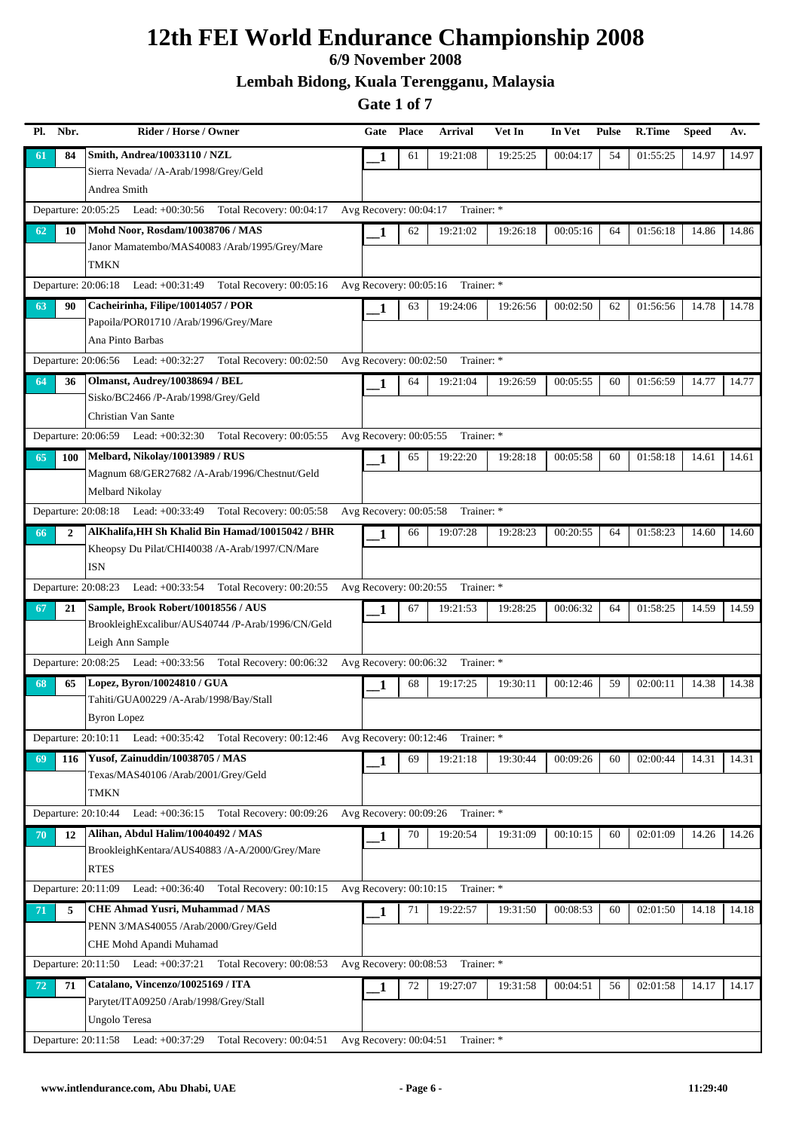### **6/9 November 2008**

**Lembah Bidong, Kuala Terengganu, Malaysia**

| Nbr.<br>Pl.         | Rider / Horse / Owner                                                                | Gate                     | <b>Place</b> | <b>Arrival</b>                    | Vet In   | In Vet   | <b>Pulse</b> | R.Time   | <b>Speed</b> | Av.   |
|---------------------|--------------------------------------------------------------------------------------|--------------------------|--------------|-----------------------------------|----------|----------|--------------|----------|--------------|-------|
| 84<br>61            | Smith, Andrea/10033110 / NZL                                                         | 1                        | 61           | 19:21:08                          | 19:25:25 | 00:04:17 | 54           | 01:55:25 | 14.97        | 14.97 |
|                     | Sierra Nevada/ /A-Arab/1998/Grey/Geld                                                |                          |              |                                   |          |          |              |          |              |       |
|                     | Andrea Smith                                                                         |                          |              |                                   |          |          |              |          |              |       |
|                     | Departure: 20:05:25 Lead: +00:30:56 Total Recovery: 00:04:17                         |                          |              | Avg Recovery: 00:04:17 Trainer: * |          |          |              |          |              |       |
| 10<br>62            | Mohd Noor, Rosdam/10038706 / MAS                                                     | 1                        | 62           | 19:21:02                          | 19:26:18 | 00:05:16 | 64           | 01:56:18 | 14.86        | 14.86 |
|                     | Janor Mamatembo/MAS40083 /Arab/1995/Grey/Mare                                        |                          |              |                                   |          |          |              |          |              |       |
|                     | <b>TMKN</b>                                                                          |                          |              |                                   |          |          |              |          |              |       |
|                     | Departure: 20:06:18 Lead: +00:31:49 Total Recovery: 00:05:16                         | Avg Recovery: 00:05:16   |              | Trainer: *                        |          |          |              |          |              |       |
| 63<br>90            | Cacheirinha, Filipe/10014057 / POR                                                   | 1                        | 63           | 19:24:06                          | 19:26:56 | 00:02:50 | 62           | 01:56:56 | 14.78        | 14.78 |
|                     | Papoila/POR01710 /Arab/1996/Grey/Mare<br>Ana Pinto Barbas                            |                          |              |                                   |          |          |              |          |              |       |
|                     | Departure: 20:06:56 Lead: +00:32:27 Total Recovery: 00:02:50                         | Avg Recovery: 00:02:50   |              | Trainer: *                        |          |          |              |          |              |       |
|                     |                                                                                      |                          |              |                                   |          |          |              |          |              |       |
| 64<br>36            | Olmanst, Audrey/10038694 / BEL<br>Sisko/BC2466 /P-Arab/1998/Grey/Geld                | 1                        | 64           | 19:21:04                          | 19:26:59 | 00:05:55 | 60           | 01:56:59 | 14.77        | 14.77 |
|                     | Christian Van Sante                                                                  |                          |              |                                   |          |          |              |          |              |       |
|                     | Departure: 20:06:59<br>Lead: $+00:32:30$<br>Total Recovery: 00:05:55                 | Avg Recovery: 00:05:55   |              | Trainer: *                        |          |          |              |          |              |       |
| 65<br>100           | Melbard, Nikolay/10013989 / RUS                                                      | 1                        | 65           | 19:22:20                          | 19:28:18 | 00:05:58 | 60           | 01:58:18 | 14.61        | 14.61 |
|                     | Magnum 68/GER27682 /A-Arab/1996/Chestnut/Geld                                        |                          |              |                                   |          |          |              |          |              |       |
|                     | Melbard Nikolay                                                                      |                          |              |                                   |          |          |              |          |              |       |
|                     | Departure: 20:08:18 Lead: +00:33:49 Total Recovery: 00:05:58                         |                          |              | Avg Recovery: 00:05:58 Trainer: * |          |          |              |          |              |       |
| 66<br>$\mathbf{2}$  | AlKhalifa, HH Sh Khalid Bin Hamad/10015042 / BHR                                     | 1                        | 66           | 19:07:28                          | 19:28:23 | 00:20:55 | 64           | 01:58:23 | 14.60        | 14.60 |
|                     | Kheopsy Du Pilat/CHI40038 /A-Arab/1997/CN/Mare                                       |                          |              |                                   |          |          |              |          |              |       |
|                     | ISN                                                                                  |                          |              |                                   |          |          |              |          |              |       |
|                     | Departure: 20:08:23 Lead: +00:33:54<br>Total Recovery: 00:20:55                      | Avg Recovery: 00:20:55   |              | Trainer: *                        |          |          |              |          |              |       |
| 21<br>67            | Sample, Brook Robert/10018556 / AUS                                                  | 1                        | 67           | 19:21:53                          | 19:28:25 | 00:06:32 | 64           | 01:58:25 | 14.59        | 14.59 |
|                     | BrookleighExcalibur/AUS40744 /P-Arab/1996/CN/Geld                                    |                          |              |                                   |          |          |              |          |              |       |
|                     | Leigh Ann Sample                                                                     |                          |              |                                   |          |          |              |          |              |       |
|                     | Total Recovery: 00:06:32<br>Departure: 20:08:25 Lead: +00:33:56                      | Avg Recovery: 00:06:32   |              | Trainer: *                        |          |          |              |          |              |       |
| 65<br>68            | Lopez, Byron/10024810 / GUA                                                          | 1                        | 68           | 19:17:25                          | 19:30:11 | 00:12:46 | 59           | 02:00:11 | 14.38        | 14.38 |
|                     | Tahiti/GUA00229 /A-Arab/1998/Bay/Stall                                               |                          |              |                                   |          |          |              |          |              |       |
|                     | <b>Byron Lopez</b>                                                                   |                          |              |                                   |          |          |              |          |              |       |
| Departure: 20:10:11 | Lead: +00:35:42 Total Recovery: 00:12:46                                             | Avg Recovery: 00:12:46   |              | Trainer: *                        |          |          |              |          |              |       |
| 116<br>69           | Yusof, Zainuddin/10038705 / MAS                                                      | 1                        | 69           | 19:21:18                          | 19:30:44 | 00:09:26 | 60           | 02:00:44 | 14.31        | 14.31 |
|                     | Texas/MAS40106 /Arab/2001/Grey/Geld                                                  |                          |              |                                   |          |          |              |          |              |       |
|                     | TMKN                                                                                 |                          |              |                                   |          |          |              |          |              |       |
| Departure: 20:10:44 | Lead: $+00:36:15$ Total Recovery: $00:09:26$                                         | Avg Recovery: $00:09:26$ |              | Trainer: *                        |          |          |              |          |              |       |
| 12<br>70            | Alihan, Abdul Halim/10040492 / MAS<br>BrookleighKentara/AUS40883 /A-A/2000/Grey/Mare | 1                        | 70           | 19:20:54                          | 19:31:09 | 00:10:15 | 60           | 02:01:09 | 14.26        | 14.26 |
|                     | <b>RTES</b>                                                                          |                          |              |                                   |          |          |              |          |              |       |
| Departure: 20:11:09 | Lead: $+00:36:40$<br>Total Recovery: 00:10:15                                        | Avg Recovery: 00:10:15   |              | Trainer: *                        |          |          |              |          |              |       |
| 71<br>5             | <b>CHE Ahmad Yusri, Muhammad / MAS</b>                                               |                          | 71           | 19:22:57                          | 19:31:50 | 00:08:53 | 60           | 02:01:50 | 14.18        | 14.18 |
|                     | PENN 3/MAS40055 /Arab/2000/Grey/Geld                                                 | 1                        |              |                                   |          |          |              |          |              |       |
|                     | CHE Mohd Apandi Muhamad                                                              |                          |              |                                   |          |          |              |          |              |       |
|                     | Departure: 20:11:50 Lead: +00:37:21 Total Recovery: 00:08:53                         | Avg Recovery: 00:08:53   |              | Trainer: *                        |          |          |              |          |              |       |
| 72<br>71            | Catalano, Vincenzo/10025169 / ITA                                                    | 1                        | 72           | 19:27:07                          | 19:31:58 | 00:04:51 | 56           | 02:01:58 | 14.17        | 14.17 |
|                     | Parytet/ITA09250 /Arab/1998/Grey/Stall                                               |                          |              |                                   |          |          |              |          |              |       |
|                     | Ungolo Teresa                                                                        |                          |              |                                   |          |          |              |          |              |       |
|                     | Departure: 20:11:58 Lead: +00:37:29<br>Total Recovery: 00:04:51                      | Avg Recovery: 00:04:51   |              | Trainer: *                        |          |          |              |          |              |       |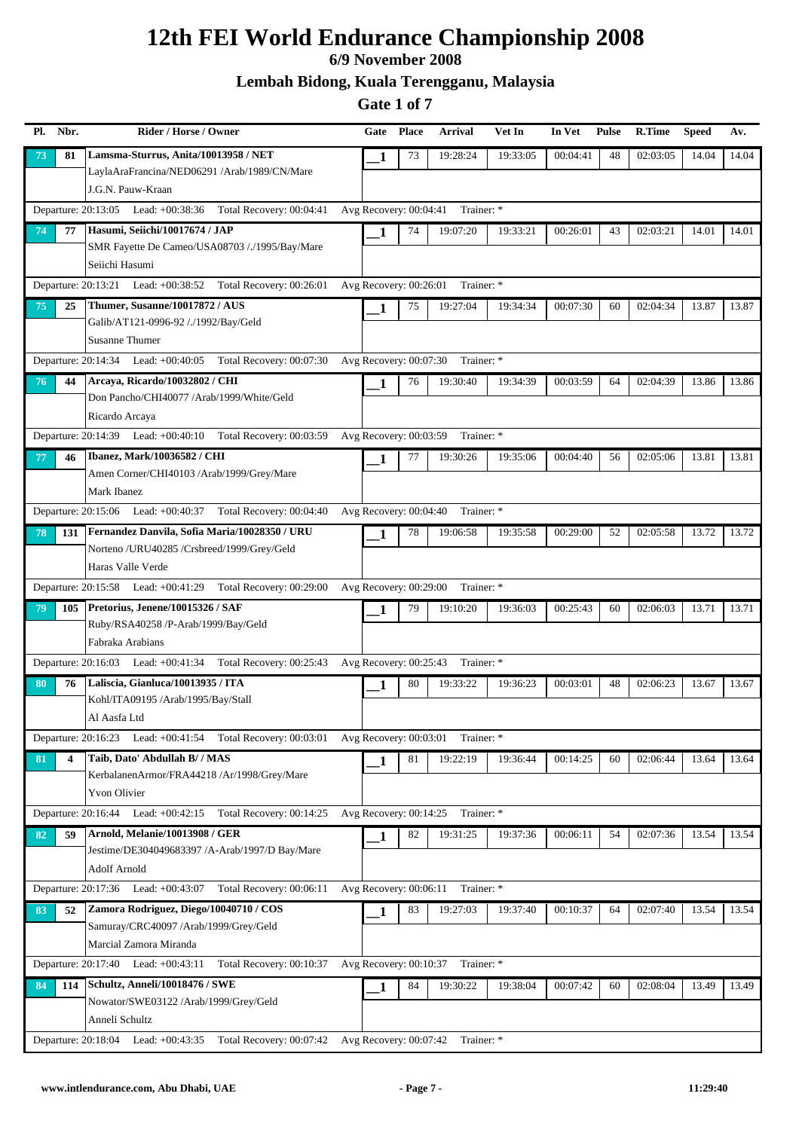### **6/9 November 2008**

**Lembah Bidong, Kuala Terengganu, Malaysia**

| Pl. | Nbr. | Rider / Horse / Owner                                                                       | Gate                     | <b>Place</b> | <b>Arrival</b> | Vet In   | In Vet   | <b>Pulse</b> | <b>R.Time</b> | <b>Speed</b> | Av.   |
|-----|------|---------------------------------------------------------------------------------------------|--------------------------|--------------|----------------|----------|----------|--------------|---------------|--------------|-------|
| 73  | 81   | Lamsma-Sturrus, Anita/10013958 / NET                                                        | 1                        | 73           | 19:28:24       | 19:33:05 | 00:04:41 | 48           | 02:03:05      | 14.04        | 14.04 |
|     |      | LaylaAraFrancina/NED06291 /Arab/1989/CN/Mare                                                |                          |              |                |          |          |              |               |              |       |
|     |      | J.G.N. Pauw-Kraan                                                                           |                          |              |                |          |          |              |               |              |       |
|     |      | Departure: 20:13:05 Lead: +00:38:36 Total Recovery: 00:04:41                                | Avg Recovery: $00:04:41$ |              | Trainer: *     |          |          |              |               |              |       |
| 74  | 77   | Hasumi, Seiichi/10017674 / JAP                                                              | 1                        | 74           | 19:07:20       | 19:33:21 | 00:26:01 | 43           | 02:03:21      | 14.01        | 14.01 |
|     |      | SMR Fayette De Cameo/USA08703 /./1995/Bay/Mare                                              |                          |              |                |          |          |              |               |              |       |
|     |      | Seiichi Hasumi                                                                              |                          |              |                |          |          |              |               |              |       |
|     |      | Departure: 20:13:21 Lead: +00:38:52 Total Recovery: 00:26:01                                | Avg Recovery: $00:26:01$ |              | Trainer: *     |          |          |              |               |              |       |
| 75  | 25   | Thumer, Susanne/10017872 / AUS                                                              | 1                        | 75           | 19:27:04       | 19:34:34 | 00:07:30 | 60           | 02:04:34      | 13.87        | 13.87 |
|     |      | Galib/AT121-0996-92 /./1992/Bay/Geld                                                        |                          |              |                |          |          |              |               |              |       |
|     |      | <b>Susanne Thumer</b>                                                                       |                          |              |                |          |          |              |               |              |       |
|     |      | Departure: 20:14:34 Lead: +00:40:05 Total Recovery: 00:07:30                                | Avg Recovery: 00:07:30   |              | Trainer: *     |          |          |              |               |              |       |
| 76  | 44   | Arcaya, Ricardo/10032802 / CHI                                                              | 1                        | 76           | 19:30:40       | 19:34:39 | 00:03:59 | 64           | 02:04:39      | 13.86        | 13.86 |
|     |      | Don Pancho/CHI40077 /Arab/1999/White/Geld                                                   |                          |              |                |          |          |              |               |              |       |
|     |      | Ricardo Arcaya                                                                              |                          |              |                |          |          |              |               |              |       |
|     |      | Departure: 20:14:39 Lead: +00:40:10 Total Recovery: 00:03:59                                | Avg Recovery: 00:03:59   |              | Trainer: *     |          |          |              |               |              |       |
| 77  | 46   | Ibanez, Mark/10036582 / CHI                                                                 | 1                        | 77           | 19:30:26       | 19:35:06 | 00:04:40 | 56           | 02:05:06      | 13.81        | 13.81 |
|     |      | Amen Corner/CHI40103 /Arab/1999/Grey/Mare<br>Mark Ibanez                                    |                          |              |                |          |          |              |               |              |       |
|     |      |                                                                                             |                          |              |                |          |          |              |               |              |       |
|     |      | Departure: 20:15:06 Lead: +00:40:37 Total Recovery: 00:04:40                                | Avg Recovery: $00:04:40$ |              | Trainer: *     |          |          |              |               |              |       |
| 78  | 131  | Fernandez Danvila, Sofia Maria/10028350 / URU<br>Norteno /URU40285 /Crsbreed/1999/Grey/Geld | 1                        | 78           | 19:06:58       | 19:35:58 | 00:29:00 | 52           | 02:05:58      | 13.72        | 13.72 |
|     |      | Haras Valle Verde                                                                           |                          |              |                |          |          |              |               |              |       |
|     |      | Departure: 20:15:58 Lead: +00:41:29 Total Recovery: 00:29:00                                | Avg Recovery: 00:29:00   |              | Trainer: *     |          |          |              |               |              |       |
| 79  | 105  | Pretorius, Jenene/10015326 / SAF                                                            |                          | 79           | 19:10:20       | 19:36:03 | 00:25:43 | 60           | 02:06:03      | 13.71        | 13.71 |
|     |      | Ruby/RSA40258 /P-Arab/1999/Bay/Geld                                                         | 1                        |              |                |          |          |              |               |              |       |
|     |      | Fabraka Arabians                                                                            |                          |              |                |          |          |              |               |              |       |
|     |      | Departure: 20:16:03 Lead: +00:41:34 Total Recovery: 00:25:43                                | Avg Recovery: 00:25:43   |              | Trainer: *     |          |          |              |               |              |       |
| 80  | 76   | Laliscia, Gianluca/10013935 / ITA                                                           | 1                        | 80           | 19:33:22       | 19:36:23 | 00:03:01 | 48           | 02:06:23      | 13.67        | 13.67 |
|     |      | Kohl/ITA09195 /Arab/1995/Bay/Stall                                                          |                          |              |                |          |          |              |               |              |       |
|     |      | Al Aasfa Ltd                                                                                |                          |              |                |          |          |              |               |              |       |
|     |      | Departure: 20:16:23 Lead: +00:41:54 Total Recovery: 00:03:01 Avg Recovery: 00:03:01         |                          |              | Trainer: *     |          |          |              |               |              |       |
| 81  |      | Taib, Dato' Abdullah B/ / MAS                                                               | 1                        | 81           | 19:22:19       | 19:36:44 | 00:14:25 | 60           | 02:06:44      | 13.64        | 13.64 |
|     |      | KerbalanenArmor/FRA44218 /Ar/1998/Grey/Mare                                                 |                          |              |                |          |          |              |               |              |       |
|     |      | <b>Yvon Olivier</b>                                                                         |                          |              |                |          |          |              |               |              |       |
|     |      | Departure: 20:16:44 Lead: +00:42:15 Total Recovery: 00:14:25                                | Avg Recovery: 00:14:25   |              | Trainer: *     |          |          |              |               |              |       |
| 82  | 59   | Arnold, Melanie/10013908 / GER                                                              | $\mathbf{1}$             | 82           | 19:31:25       | 19:37:36 | 00:06:11 | 54           | 02:07:36      | 13.54        | 13.54 |
|     |      | Jestime/DE304049683397 /A-Arab/1997/D Bay/Mare                                              |                          |              |                |          |          |              |               |              |       |
|     |      | Adolf Arnold                                                                                |                          |              |                |          |          |              |               |              |       |
|     |      | Departure: 20:17:36 Lead: +00:43:07 Total Recovery: 00:06:11                                | Avg Recovery: 00:06:11   |              | Trainer: *     |          |          |              |               |              |       |
| 83  | 52   | Zamora Rodriguez, Diego/10040710 / COS                                                      | 1                        | 83           | 19:27:03       | 19:37:40 | 00:10:37 | 64           | 02:07:40      | 13.54        | 13.54 |
|     |      | Samuray/CRC40097 /Arab/1999/Grey/Geld                                                       |                          |              |                |          |          |              |               |              |       |
|     |      | Marcial Zamora Miranda                                                                      |                          |              |                |          |          |              |               |              |       |
|     |      | Total Recovery: 00:10:37<br>Departure: 20:17:40 Lead: +00:43:11                             | Avg Recovery: 00:10:37   |              | Trainer: *     |          |          |              |               |              |       |
| 84  | 114  | Schultz, Anneli/10018476 / SWE                                                              | 1                        | 84           | 19:30:22       | 19:38:04 | 00:07:42 | 60           | 02:08:04      | 13.49        | 13.49 |
|     |      | Nowator/SWE03122 /Arab/1999/Grey/Geld<br>Anneli Schultz                                     |                          |              |                |          |          |              |               |              |       |
|     |      | Departure: 20:18:04 Lead: +00:43:35 Total Recovery: 00:07:42 Avg Recovery: 00:07:42         |                          |              | Trainer: *     |          |          |              |               |              |       |
|     |      |                                                                                             |                          |              |                |          |          |              |               |              |       |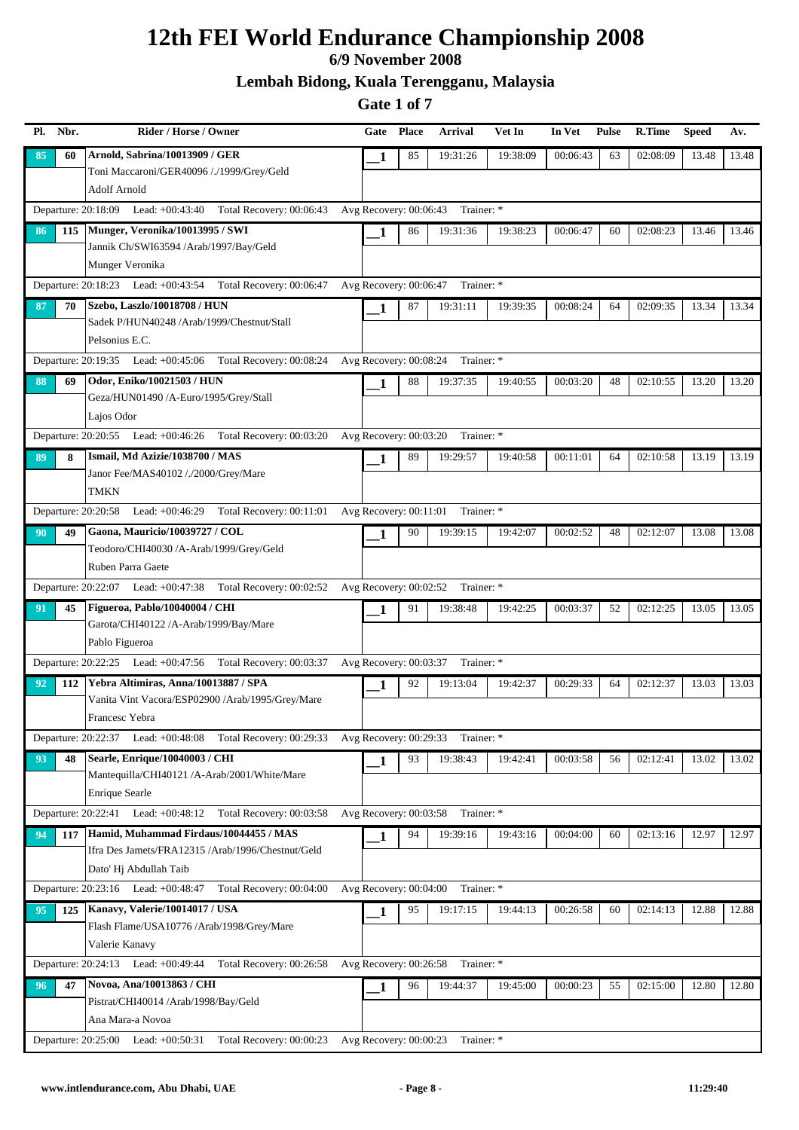### **6/9 November 2008**

**Lembah Bidong, Kuala Terengganu, Malaysia**

| Pl. Nbr.  | Rider / Horse / Owner                                                     | Gate                     | <b>Place</b> | <b>Arrival</b> | Vet In   | In Vet   | <b>Pulse</b> | R.Time   | <b>Speed</b> | Av.   |
|-----------|---------------------------------------------------------------------------|--------------------------|--------------|----------------|----------|----------|--------------|----------|--------------|-------|
| 85<br>60  | Arnold, Sabrina/10013909 / GER                                            | 1                        | 85           | 19:31:26       | 19:38:09 | 00:06:43 | 63           | 02:08:09 | 13.48        | 13.48 |
|           | Toni Maccaroni/GER40096 /./1999/Grey/Geld                                 |                          |              |                |          |          |              |          |              |       |
|           | Adolf Arnold                                                              |                          |              |                |          |          |              |          |              |       |
|           | Departure: 20:18:09 Lead: +00:43:40 Total Recovery: 00:06:43              | Avg Recovery: $00:06:43$ |              | Trainer: *     |          |          |              |          |              |       |
| 115<br>86 | Munger, Veronika/10013995 / SWI<br>Jannik Ch/SWI63594 /Arab/1997/Bay/Geld | 1                        | 86           | 19:31:36       | 19:38:23 | 00:06:47 | 60           | 02:08:23 | 13.46        | 13.46 |
|           | Munger Veronika                                                           |                          |              |                |          |          |              |          |              |       |
|           | Departure: 20:18:23 Lead: +00:43:54 Total Recovery: 00:06:47              | Avg Recovery: 00:06:47   |              | Trainer: *     |          |          |              |          |              |       |
| 87<br>70  | Szebo, Laszlo/10018708 / HUN                                              | 1                        | 87           | 19:31:11       | 19:39:35 | 00:08:24 | 64           | 02:09:35 | 13.34        | 13.34 |
|           | Sadek P/HUN40248 /Arab/1999/Chestnut/Stall                                |                          |              |                |          |          |              |          |              |       |
|           | Pelsonius E.C.                                                            |                          |              |                |          |          |              |          |              |       |
|           | Departure: 20:19:35 Lead: +00:45:06 Total Recovery: 00:08:24              | Avg Recovery: 00:08:24   |              | Trainer: *     |          |          |              |          |              |       |
| 69<br>88  | Odor, Eniko/10021503 / HUN                                                | 1                        | 88           | 19:37:35       | 19:40:55 | 00:03:20 | 48           | 02:10:55 | 13.20        | 13.20 |
|           | Geza/HUN01490 /A-Euro/1995/Grey/Stall                                     |                          |              |                |          |          |              |          |              |       |
|           | Lajos Odor                                                                |                          |              |                |          |          |              |          |              |       |
|           | Departure: 20:20:55 Lead: +00:46:26<br>Total Recovery: 00:03:20           | Avg Recovery: 00:03:20   |              | Trainer: *     |          |          |              |          |              |       |
| 89<br>8   | Ismail, Md Azizie/1038700 / MAS<br>Janor Fee/MAS40102 /./2000/Grey/Mare   | 1                        | 89           | 19:29:57       | 19:40:58 | 00:11:01 | 64           | 02:10:58 | 13.19        | 13.19 |
|           | TMKN                                                                      |                          |              |                |          |          |              |          |              |       |
|           | Departure: 20:20:58 Lead: +00:46:29 Total Recovery: 00:11:01              | Avg Recovery: 00:11:01   |              | Trainer: *     |          |          |              |          |              |       |
| 49<br>90  | Gaona, Mauricio/10039727 / COL                                            |                          | 90           | 19:39:15       | 19:42:07 | 00:02:52 | 48           | 02:12:07 | 13.08        | 13.08 |
|           | Teodoro/CHI40030 /A-Arab/1999/Grey/Geld                                   | 1                        |              |                |          |          |              |          |              |       |
|           | Ruben Parra Gaete                                                         |                          |              |                |          |          |              |          |              |       |
|           | Departure: 20:22:07 Lead: +00:47:38 Total Recovery: 00:02:52              | Avg Recovery: 00:02:52   |              | Trainer: *     |          |          |              |          |              |       |
| 91<br>45  | Figueroa, Pablo/10040004 / CHI                                            | 1                        | 91           | 19:38:48       | 19:42:25 | 00:03:37 | 52           | 02:12:25 | 13.05        | 13.05 |
|           | Garota/CHI40122 /A-Arab/1999/Bay/Mare                                     |                          |              |                |          |          |              |          |              |       |
|           | Pablo Figueroa                                                            |                          |              |                |          |          |              |          |              |       |
|           | Departure: 20:22:25 Lead: +00:47:56 Total Recovery: 00:03:37              | Avg Recovery: 00:03:37   |              | Trainer: *     |          |          |              |          |              |       |
| 92<br>112 | Yebra Altimiras, Anna/10013887 / SPA                                      | 1                        | 92           | 19:13:04       | 19:42:37 | 00:29:33 | 64           | 02:12:37 | 13.03        | 13.03 |
|           | Vanita Vint Vacora/ESP02900 /Arab/1995/Grey/Mare<br>Francesc Yebra        |                          |              |                |          |          |              |          |              |       |
|           | Departure: 20:22:37 Lead: +00:48:08<br>Total Recovery: 00:29:33           | Avg Recovery: 00:29:33   |              | Trainer: *     |          |          |              |          |              |       |
| 93<br>48  | Searle, Enrique/10040003 / CHI                                            |                          | 93           | 19:38:43       | 19:42:41 | 00:03:58 | 56           | 02:12:41 | 13.02        | 13.02 |
|           | Mantequilla/CHI40121 /A-Arab/2001/White/Mare                              | 1                        |              |                |          |          |              |          |              |       |
|           | <b>Enrique Searle</b>                                                     |                          |              |                |          |          |              |          |              |       |
|           | Departure: 20:22:41 Lead: +00:48:12 Total Recovery: 00:03:58              | Avg Recovery: 00:03:58   |              | Trainer: *     |          |          |              |          |              |       |
| 117<br>94 | Hamid, Muhammad Firdaus/10044455 / MAS                                    | 1                        | 94           | 19:39:16       | 19:43:16 | 00:04:00 | 60           | 02:13:16 | 12.97        | 12.97 |
|           | Ifra Des Jamets/FRA12315 /Arab/1996/Chestnut/Geld                         |                          |              |                |          |          |              |          |              |       |
|           | Dato' Hj Abdullah Taib                                                    |                          |              |                |          |          |              |          |              |       |
|           | Departure: 20:23:16 Lead: +00:48:47 Total Recovery: 00:04:00              | Avg Recovery: 00:04:00   |              | Trainer: *     |          |          |              |          |              |       |
| 125<br>95 | Kanavy, Valerie/10014017 / USA                                            | 1                        | 95           | 19:17:15       | 19:44:13 | 00:26:58 | 60           | 02:14:13 | 12.88        | 12.88 |
|           | Flash Flame/USA10776 /Arab/1998/Grey/Mare<br>Valerie Kanavy               |                          |              |                |          |          |              |          |              |       |
|           | Departure: 20:24:13 Lead: +00:49:44<br>Total Recovery: 00:26:58           | Avg Recovery: 00:26:58   |              | Trainer: *     |          |          |              |          |              |       |
| 47<br>96  | Novoa, Ana/10013863 / CHI                                                 |                          | 96           | 19:44:37       | 19:45:00 | 00:00:23 | 55           | 02:15:00 | 12.80        | 12.80 |
|           | Pistrat/CHI40014 /Arab/1998/Bay/Geld                                      | 1                        |              |                |          |          |              |          |              |       |
|           | Ana Mara-a Novoa                                                          |                          |              |                |          |          |              |          |              |       |
|           | Departure: 20:25:00 Lead: +00:50:31 Total Recovery: 00:00:23              | Avg Recovery: 00:00:23   |              | Trainer: *     |          |          |              |          |              |       |